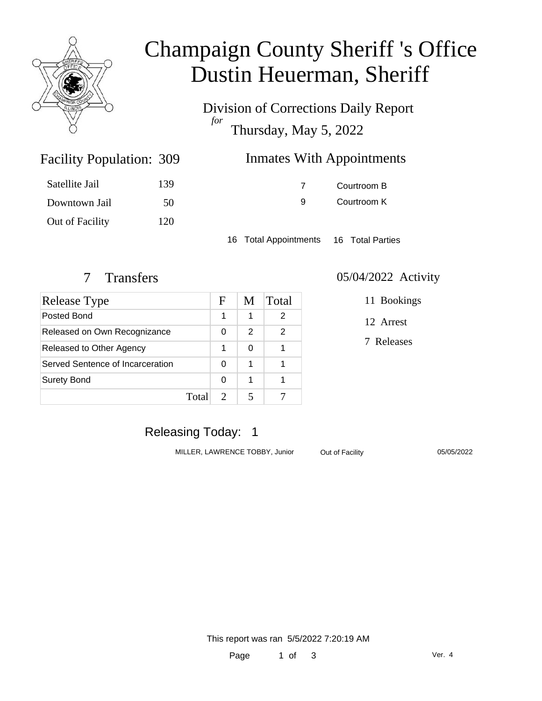

# Champaign County Sheriff 's Office Dustin Heuerman, Sheriff

Division of Corrections Daily Report *for* Thursday, May 5, 2022

| 309 | Inmates With Appointments |
|-----|---------------------------|
|-----|---------------------------|

| Satellite Jail  | 139 |
|-----------------|-----|
| Downtown Jail   | 50  |
| Out of Facility | 120 |

Facility Population: 309

7 Courtroom B 9 Courtroom K

16 Total Appointments 16 Total Parties

| Release Type                     |       | F | M | Total |
|----------------------------------|-------|---|---|-------|
| Posted Bond                      |       |   | 1 | 2     |
| Released on Own Recognizance     |       | 0 | 2 | 2     |
| Released to Other Agency         |       | 1 | 0 |       |
| Served Sentence of Incarceration |       | O | 1 |       |
| <b>Surety Bond</b>               |       | ∩ | 1 |       |
|                                  | Total |   |   |       |

#### 7 Transfers 05/04/2022 Activity

11 Bookings

12 Arrest

7 Releases

# Releasing Today: 1

MILLER, LAWRENCE TOBBY, Junior Out of Facility 05/05/2022

This report was ran 5/5/2022 7:20:19 AM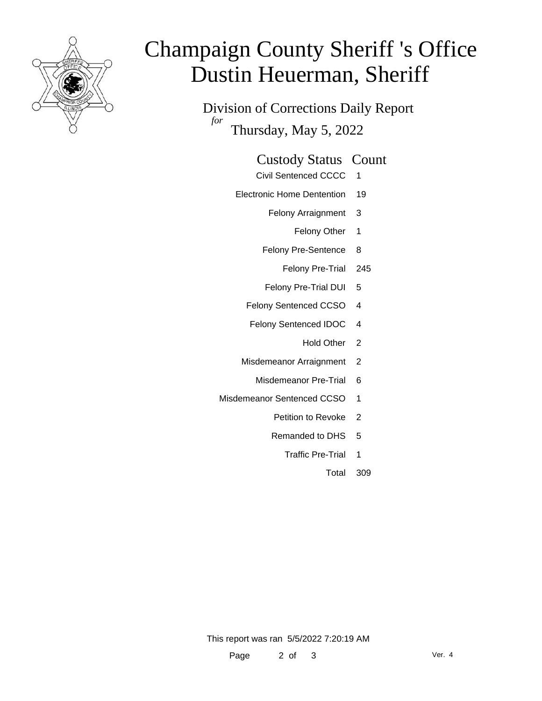

# Champaign County Sheriff 's Office Dustin Heuerman, Sheriff

Division of Corrections Daily Report *for* Thursday, May 5, 2022

#### Custody Status Count

- Civil Sentenced CCCC 1
- Electronic Home Dentention 19
	- Felony Arraignment 3
		- Felony Other 1
	- Felony Pre-Sentence 8
		- Felony Pre-Trial 245
	- Felony Pre-Trial DUI 5
	- Felony Sentenced CCSO 4
	- Felony Sentenced IDOC 4
		- Hold Other 2
	- Misdemeanor Arraignment 2
		- Misdemeanor Pre-Trial 6
- Misdemeanor Sentenced CCSO 1
	- Petition to Revoke 2
	- Remanded to DHS 5
		- Traffic Pre-Trial 1
			- Total 309

This report was ran 5/5/2022 7:20:19 AM